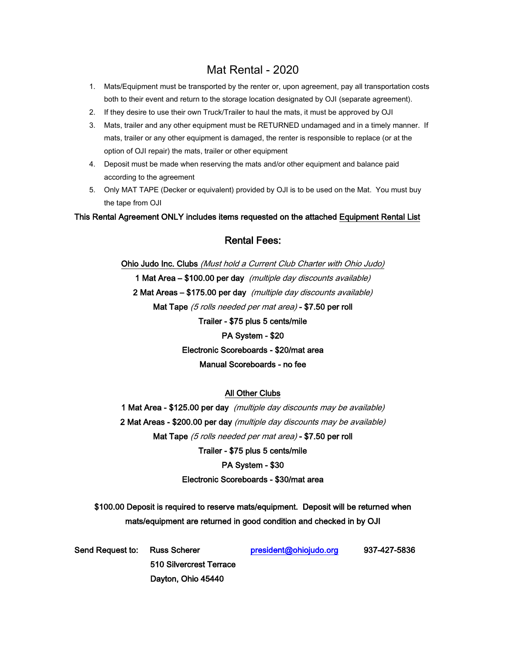### Mat Rental - 2020

- 1. Mats/Equipment must be transported by the renter or, upon agreement, pay all transportation costs both to their event and return to the storage location designated by OJI (separate agreement).
- 2. If they desire to use their own Truck/Trailer to haul the mats, it must be approved by OJI
- 3. Mats, trailer and any other equipment must be RETURNED undamaged and in a timely manner. If mats, trailer or any other equipment is damaged, the renter is responsible to replace (or at the option of OJI repair) the mats, trailer or other equipment
- 4. Deposit must be made when reserving the mats and/or other equipment and balance paid according to the agreement
- 5. Only MAT TAPE (Decker or equivalent) provided by OJI is to be used on the Mat. You must buy the tape from OJI

This Rental Agreement ONLY includes items requested on the attached Equipment Rental List

#### Rental Fees:

Ohio Judo Inc. Clubs (Must hold a Current Club Charter with Ohio Judo) 1 Mat Area – \$100.00 per day (multiple day discounts available) 2 Mat Areas – \$175.00 per day (multiple day discounts available) Mat Tape (5 rolls needed per mat area) - \$7.50 per roll Trailer - \$75 plus 5 cents/mile

#### PA System - \$20

Electronic Scoreboards - \$20/mat area

#### Manual Scoreboards - no fee

#### All Other Clubs

1 Mat Area - \$125.00 per day (multiple day discounts may be available) 2 Mat Areas - \$200.00 per day (multiple day discounts may be available) Mat Tape (5 rolls needed per mat area) - \$7.50 per roll

Trailer - \$75 plus 5 cents/mile

#### PA System - \$30

#### Electronic Scoreboards - \$30/mat area

\$100.00 Deposit is required to reserve mats/equipment. Deposit will be returned when mats/equipment are returned in good condition and checked in by OJI

| Send Request to: Russ Scherer |                         | president@ohiojudo.org | 937-427-5836 |
|-------------------------------|-------------------------|------------------------|--------------|
|                               | 510 Silvercrest Terrace |                        |              |
|                               | Dayton, Ohio 45440      |                        |              |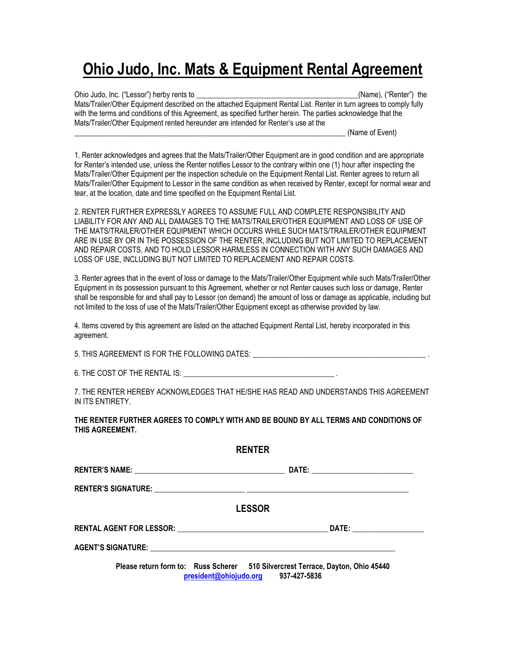## **Ohio Judo, Inc. Mats & Equipment Rental Agreement**

Ohio Judo, Inc. ("Lessor") herby rents to \_\_\_\_\_\_\_\_\_\_\_\_\_\_\_\_\_\_\_\_\_\_\_\_\_\_\_\_\_\_\_\_\_\_\_\_\_\_\_\_\_\_\_(Name), ("Renter") the Mats/Trailer/Other Equipment described on the attached Equipment Rental List. Renter in turn agrees to comply fully with the terms and conditions of this Agreement, as specified further herein. The parties acknowledge that the Mats/Trailer/Other Equipment rented hereunder are intended for Renter's use at the (Name of Event)

1. Renter acknowledges and agrees that the Mats/Trailer/Other Equipment are in good condition and are appropriate for Renter's intended use, unless the Renter notifies Lessor to the contrary within one (1) hour after inspecting the Mats/Trailer/Other Equipment per the inspection schedule on the Equipment Rental List. Renter agrees to return all Mats/Trailer/Other Equipment to Lessor in the same condition as when received by Renter, except for normal wear and tear, at the location, date and time specified on the Equipment Rental List.

2. RENTER FURTHER EXPRESSLY AGREES TO ASSUME FULL AND COMPLETE RESPONSIBILITY AND LIABILITY FOR ANY AND ALL DAMAGES TO THE MATS/TRAILER/OTHER EQUIPMENT AND LOSS OF USE OF THE MATS/TRAILER/OTHER EQUIPMENT WHICH OCCURS WHILE SUCH MATS/TRAILER/OTHER EQUIPMENT ARE IN USE BY OR IN THE POSSESSION OF THE RENTER, INCLUDING BUT NOT LIMITED TO REPLACEMENT AND REPAIR COSTS, AND TO HOLD LESSOR HARMLESS IN CONNECTION WITH ANY SUCH DAMAGES AND LOSS OF USE, INCLUDING BUT NOT LIMITED TO REPLACEMENT AND REPAIR COSTS.

3. Renter agrees that in the event of loss or damage to the Mats/Trailer/Other Equipment while such Mats/Trailer/Other Equipment in its possession pursuant to this Agreement, whether or not Renter causes such loss or damage, Renter shall be responsible for and shall pay to Lessor (on demand) the amount of loss or damage as applicable, including but not limited to the loss of use of the Mats/Trailer/Other Equipment except as otherwise provided by law.

4. Items covered by this agreement are listed on the attached Equipment Rental List, hereby incorporated in this agreement.

5. THIS AGREEMENT IS FOR THE FOLLOWING DATES:

6. THE COST OF THE RENTAL IS:

7. THE RENTER HEREBY ACKNOWLEDGES THAT HE/SHE HAS READ AND UNDERSTANDS THIS AGREEMENT IN ITS ENTIRETY.

**THE RENTER FURTHER AGREES TO COMPLY WITH AND BE BOUND BY ALL TERMS AND CONDITIONS OF THIS AGREEMENT.**

| <b>RENTER</b>                                                                   |  |
|---------------------------------------------------------------------------------|--|
|                                                                                 |  |
|                                                                                 |  |
| <b>LESSOR</b>                                                                   |  |
|                                                                                 |  |
|                                                                                 |  |
| Please return form to: Russ Scherer 510 Silvercrest Terrace, Dayton, Ohio 45440 |  |

**[president@ohiojudo.org](mailto:president@ohiojudo.org) 937-427-5836**